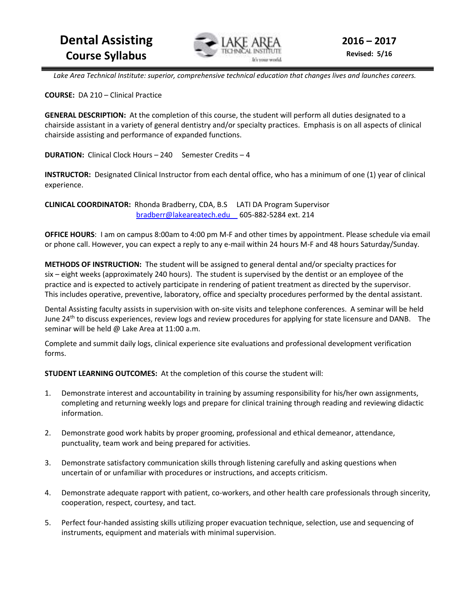

 *Lake Area Technical Institute: superior, comprehensive technical education that changes lives and launches careers.* 

**COURSE:** DA 210 – Clinical Practice

**GENERAL DESCRIPTION:** At the completion of this course, the student will perform all duties designated to a chairside assistant in a variety of general dentistry and/or specialty practices. Emphasis is on all aspects of clinical chairside assisting and performance of expanded functions.

**DURATION:** Clinical Clock Hours – 240 Semester Credits – 4

**INSTRUCTOR:** Designated Clinical Instructor from each dental office, who has a minimum of one (1) year of clinical experience.

**CLINICAL COORDINATOR:** Rhonda Bradberry, CDA, B.S LATI DA Program Supervisor bradberr@lakeareatech.edu 605-882-5284 ext. 214

**OFFICE HOURS**: I am on campus 8:00am to 4:00 pm M-F and other times by appointment. Please schedule via email or phone call. However, you can expect a reply to any e-mail within 24 hours M-F and 48 hours Saturday/Sunday.

**METHODS OF INSTRUCTION:** The student will be assigned to general dental and/or specialty practices for six – eight weeks (approximately 240 hours). The student is supervised by the dentist or an employee of the practice and is expected to actively participate in rendering of patient treatment as directed by the supervisor. This includes operative, preventive, laboratory, office and specialty procedures performed by the dental assistant.

Dental Assisting faculty assists in supervision with on-site visits and telephone conferences. A seminar will be held June 24<sup>th</sup> to discuss experiences, review logs and review procedures for applying for state licensure and DANB. The seminar will be held @ Lake Area at 11:00 a.m.

Complete and summit daily logs, clinical experience site evaluations and professional development verification forms.

**STUDENT LEARNING OUTCOMES:** At the completion of this course the student will:

- 1. Demonstrate interest and accountability in training by assuming responsibility for his/her own assignments, completing and returning weekly logs and prepare for clinical training through reading and reviewing didactic information.
- 2. Demonstrate good work habits by proper grooming, professional and ethical demeanor, attendance, punctuality, team work and being prepared for activities.
- 3. Demonstrate satisfactory communication skills through listening carefully and asking questions when uncertain of or unfamiliar with procedures or instructions, and accepts criticism.
- 4. Demonstrate adequate rapport with patient, co-workers, and other health care professionals through sincerity, cooperation, respect, courtesy, and tact.
- 5. Perfect four-handed assisting skills utilizing proper evacuation technique, selection, use and sequencing of instruments, equipment and materials with minimal supervision.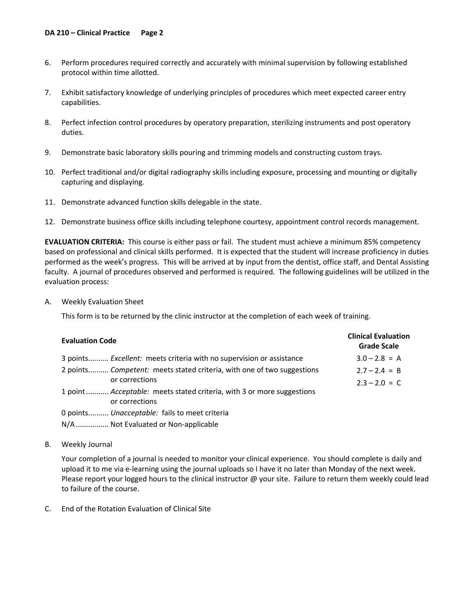- 6. Perform procedures required correctly and accurately with minimal supervision by following established protocol within time allotted.
- 7. Exhibit satisfactory knowledge of underlying principles of procedures which meet expected career entry capabilities.
- 8. Perfect infection control procedures by operatory preparation, sterilizing instruments and post operatory duties.
- 9. Demonstrate basic laboratory skills pouring and trimming models and constructing custom trays.
- 10. Perfect traditional and/or digital radiography skills including exposure, processing and mounting or digitally capturing and displaying.
- 11. Demonstrate advanced function skills delegable in the state.
- 12. Demonstrate business office skills including telephone courtesy, appointment control records management.

**EVALUATION CRITERIA:** This course is either pass or fail. The student must achieve a minimum 85% competency based on professional and clinical skills performed. It is expected that the student will increase proficiency in duties performed as the week's progress. This will be arrived at by input from the dentist, office staff, and Dental Assisting faculty. A journal of procedures observed and performed is required. The following guidelines will be utilized in the evaluation process:

A. Weekly Evaluation Sheet

This form is to be returned by the clinic instructor at the completion of each week of training.

| <b>Evaluation Code</b>                                                 | <b>Clinical Evaluation</b><br><b>Grade Scale</b> |
|------------------------------------------------------------------------|--------------------------------------------------|
| 3 points Excellent: meets criteria with no supervision or assistance   | $3.0 - 2.8 = A$                                  |
| 2 points Competent: meets stated criteria, with one of two suggestions | $2.7 - 2.4 = B$                                  |
| or corrections                                                         | $2.3 - 2.0 = C$                                  |
| 1 point Acceptable: meets stated criteria, with 3 or more suggestions  |                                                  |
| or corrections                                                         |                                                  |
| 0 points Unacceptable: fails to meet criteria                          |                                                  |
| N/A  Not Evaluated or Non-applicable                                   |                                                  |

B. Weekly Journal

 Your completion of a journal is needed to monitor your clinical experience. You should complete is daily and upload it to me via e-learning using the journal uploads so I have it no later than Monday of the next week. Please report your logged hours to the clinical instructor  $\omega$  your site. Failure to return them weekly could lead to failure of the course.

C. End of the Rotation Evaluation of Clinical Site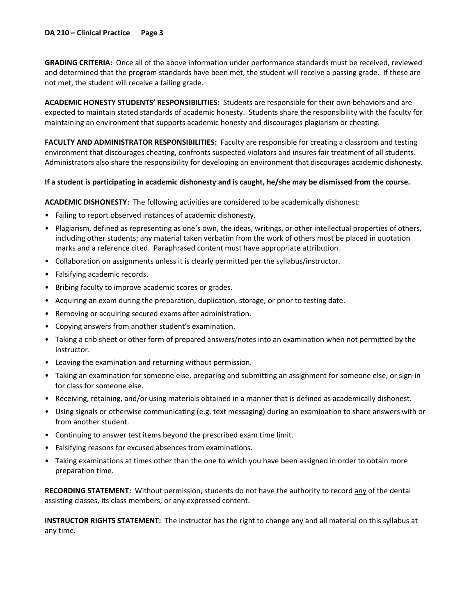**GRADING CRITERIA:** Once all of the above information under performance standards must be received, reviewed and determined that the program standards have been met, the student will receive a passing grade. If these are not met, the student will receive a failing grade.

**ACADEMIC HONESTY STUDENTS' RESPONSIBILITIES:** Students are responsible for their own behaviors and are expected to maintain stated standards of academic honesty. Students share the responsibility with the faculty for maintaining an environment that supports academic honesty and discourages plagiarism or cheating.

**FACULTY AND ADMINISTRATOR RESPONSIBILITIES:** Faculty are responsible for creating a classroom and testing environment that discourages cheating, confronts suspected violators and insures fair treatment of all students. Administrators also share the responsibility for developing an environment that discourages academic dishonesty.

### **If a student is participating in academic dishonesty and is caught, he/she may be dismissed from the course.**

**ACADEMIC DISHONESTY:** The following activities are considered to be academically dishonest:

- Failing to report observed instances of academic dishonesty.
- Plagiarism, defined as representing as one's own, the ideas, writings, or other intellectual properties of others, including other students; any material taken verbatim from the work of others must be placed in quotation marks and a reference cited. Paraphrased content must have appropriate attribution.
- Collaboration on assignments unless it is clearly permitted per the syllabus/instructor.
- Falsifying academic records.
- Bribing faculty to improve academic scores or grades.
- Acquiring an exam during the preparation, duplication, storage, or prior to testing date.
- Removing or acquiring secured exams after administration.
- Copying answers from another student's examination.
- Taking a crib sheet or other form of prepared answers/notes into an examination when not permitted by the instructor.
- Leaving the examination and returning without permission.
- Taking an examination for someone else, preparing and submitting an assignment for someone else, or sign-in for class for someone else.
- Receiving, retaining, and/or using materials obtained in a manner that is defined as academically dishonest.
- Using signals or otherwise communicating (e.g. text messaging) during an examination to share answers with or from another student.
- Continuing to answer test items beyond the prescribed exam time limit.
- Falsifying reasons for excused absences from examinations.
- Taking examinations at times other than the one to which you have been assigned in order to obtain more preparation time.

**RECORDING STATEMENT:** Without permission, students do not have the authority to record any of the dental assisting classes, its class members, or any expressed content.

**INSTRUCTOR RIGHTS STATEMENT:** The instructor has the right to change any and all material on this syllabus at any time.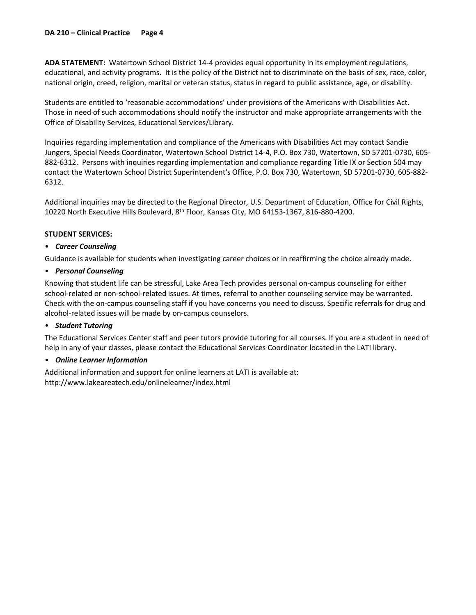**ADA STATEMENT:** Watertown School District 14-4 provides equal opportunity in its employment regulations, educational, and activity programs. It is the policy of the District not to discriminate on the basis of sex, race, color, national origin, creed, religion, marital or veteran status, status in regard to public assistance, age, or disability.

Students are entitled to 'reasonable accommodations' under provisions of the Americans with Disabilities Act. Those in need of such accommodations should notify the instructor and make appropriate arrangements with the Office of Disability Services, Educational Services/Library.

Inquiries regarding implementation and compliance of the Americans with Disabilities Act may contact Sandie Jungers, Special Needs Coordinator, Watertown School District 14-4, P.O. Box 730, Watertown, SD 57201-0730, 605- 882-6312. Persons with inquiries regarding implementation and compliance regarding Title IX or Section 504 may contact the Watertown School District Superintendent's Office, P.O. Box 730, Watertown, SD 57201-0730, 605-882- 6312.

Additional inquiries may be directed to the Regional Director, U.S. Department of Education, Office for Civil Rights, 10220 North Executive Hills Boulevard, 8th Floor, Kansas City, MO 64153-1367, 816-880-4200.

### **STUDENT SERVICES:**

## • *Career Counseling*

Guidance is available for students when investigating career choices or in reaffirming the choice already made.

## • *Personal Counseling*

Knowing that student life can be stressful, Lake Area Tech provides personal on-campus counseling for either school-related or non-school-related issues. At times, referral to another counseling service may be warranted. Check with the on-campus counseling staff if you have concerns you need to discuss. Specific referrals for drug and alcohol-related issues will be made by on-campus counselors.

### • *Student Tutoring*

The Educational Services Center staff and peer tutors provide tutoring for all courses. If you are a student in need of help in any of your classes, please contact the Educational Services Coordinator located in the LATI library.

## • *Online Learner Information*

Additional information and support for online learners at LATI is available at: http://www.lakeareatech.edu/onlinelearner/index.html